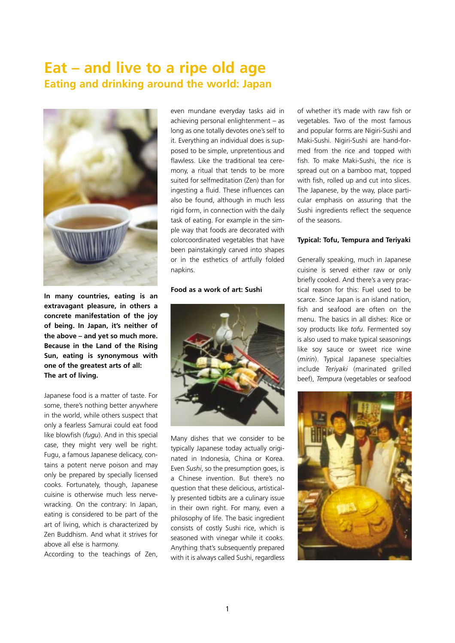## **Eat – and live to a ripe old age Eating and drinking around the world: Japan**



**In many countries, eating is an extravagant pleasure, in others a concrete manifestation of the joy of being. In Japan, it's neither of the above – and yet so much more. Because in the Land of the Rising Sun, eating is synonymous with one of the greatest arts of all: The art of living.**

Japanese food is a matter of taste. For some, there's nothing better anywhere in the world, while others suspect that only a fearless Samurai could eat food like blowfish (*fugu*). And in this special case, they might very well be right. Fugu, a famous Japanese delicacy, contains a potent nerve poison and may only be prepared by specially licensed cooks. Fortunately, though, Japanese cuisine is otherwise much less nervewracking. On the contrary: In Japan, eating is considered to be part of the art of living, which is characterized by Zen Buddhism. And what it strives for above all else is harmony.

According to the teachings of Zen,

even mundane everyday tasks aid in achieving personal enlightenment – as long as one totally devotes one's self to it. Everything an individual does is supposed to be simple, unpretentious and flawless. Like the traditional tea ceremony, a ritual that tends to be more suited for selfmeditation (Zen) than for ingesting a fluid. These influences can also be found, although in much less rigid form, in connection with the daily task of eating. For example in the simple way that foods are decorated with colorcoordinated vegetables that have been painstakingly carved into shapes or in the esthetics of artfully folded napkins.

## **Food as a work of art: Sushi**



Many dishes that we consider to be typically Japanese today actually originated in Indonesia, China or Korea. Even *Sushi*, so the presumption goes, is a Chinese invention. But there's no question that these delicious, artistically presented tidbits are a culinary issue in their own right. For many, even a philosophy of life. The basic ingredient consists of costly Sushi rice, which is seasoned with vinegar while it cooks. Anything that's subsequently prepared with it is always called Sushi, regardless of whether it's made with raw fish or vegetables. Two of the most famous and popular forms are Nigiri-Sushi and Maki-Sushi. Nigiri-Sushi are hand-formed from the rice and topped with fish. To make Maki-Sushi, the rice is spread out on a bamboo mat, topped with fish, rolled up and cut into slices. The Japanese, by the way, place particular emphasis on assuring that the Sushi ingredients reflect the sequence of the seasons.

## **Typical: Tofu, Tempura and Teriyaki**

Generally speaking, much in Japanese cuisine is served either raw or only briefly cooked. And there's a very practical reason for this: Fuel used to be scarce. Since Japan is an island nation, fish and seafood are often on the menu. The basics in all dishes: Rice or soy products like *tofu*. Fermented soy is also used to make typical seasonings like soy sauce or sweet rice wine (*mirin*). Typical Japanese specialties include *Teriyaki* (marinated grilled beef), *Tempura* (vegetables or seafood